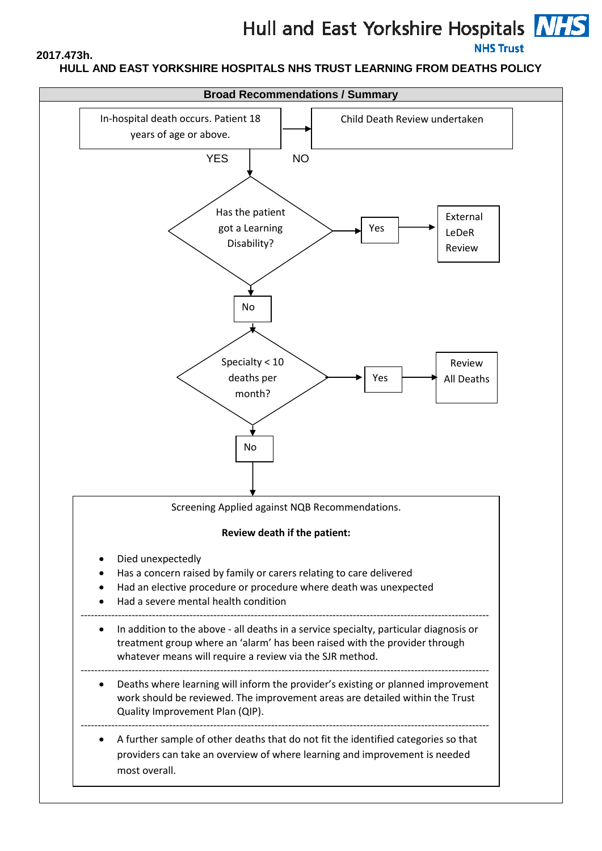# Hull and East Yorkshire Hospitals **NHS**

# **NHS Trust**

# **HULL AND EAST YORKSHIRE HOSPITALS NHS TRUST LEARNING FROM DEATHS POLICY**

**2017.473h.**

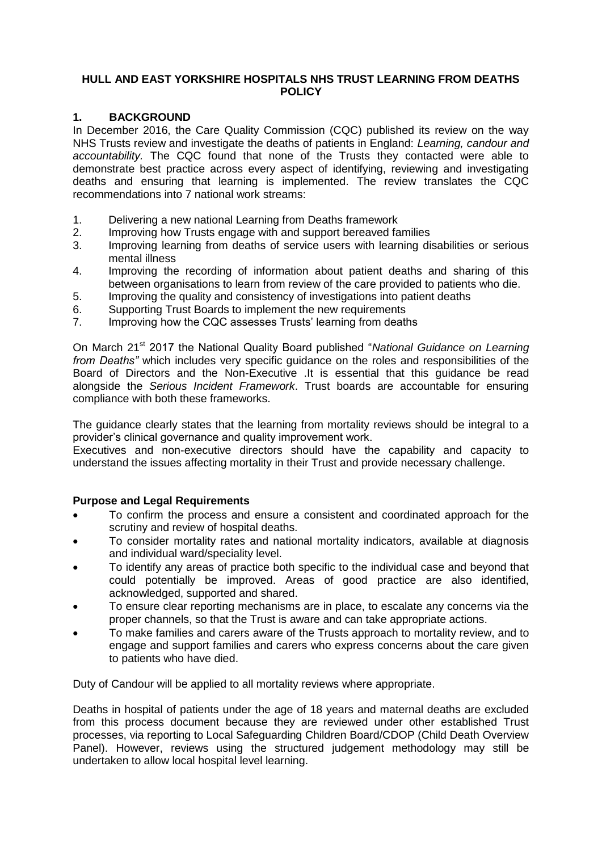#### **HULL AND EAST YORKSHIRE HOSPITALS NHS TRUST LEARNING FROM DEATHS POLICY**

#### **1. BACKGROUND**

In December 2016, the Care Quality Commission (CQC) published its review on the way NHS Trusts review and investigate the deaths of patients in England: *Learning, candour and accountability.* The CQC found that none of the Trusts they contacted were able to demonstrate best practice across every aspect of identifying, reviewing and investigating deaths and ensuring that learning is implemented. The review translates the CQC recommendations into 7 national work streams:

- 1. Delivering a new national Learning from Deaths framework
- 2. Improving how Trusts engage with and support bereaved families
- 3. Improving learning from deaths of service users with learning disabilities or serious mental illness
- 4. Improving the recording of information about patient deaths and sharing of this between organisations to learn from review of the care provided to patients who die.
- 5. Improving the quality and consistency of investigations into patient deaths
- 6. Supporting Trust Boards to implement the new requirements
- 7. Improving how the CQC assesses Trusts' learning from deaths

On March 21st 2017 the National Quality Board published "*National Guidance on Learning from Deaths*" which includes very specific quidance on the roles and responsibilities of the Board of Directors and the Non-Executive .It is essential that this guidance be read alongside the *Serious Incident Framework*. Trust boards are accountable for ensuring compliance with both these frameworks.

The guidance clearly states that the learning from mortality reviews should be integral to a provider's clinical governance and quality improvement work.

Executives and non-executive directors should have the capability and capacity to understand the issues affecting mortality in their Trust and provide necessary challenge.

#### **Purpose and Legal Requirements**

- To confirm the process and ensure a consistent and coordinated approach for the scrutiny and review of hospital deaths.
- To consider mortality rates and national mortality indicators, available at diagnosis and individual ward/speciality level.
- To identify any areas of practice both specific to the individual case and beyond that could potentially be improved. Areas of good practice are also identified, acknowledged, supported and shared.
- To ensure clear reporting mechanisms are in place, to escalate any concerns via the proper channels, so that the Trust is aware and can take appropriate actions.
- To make families and carers aware of the Trusts approach to mortality review, and to engage and support families and carers who express concerns about the care given to patients who have died.

Duty of Candour will be applied to all mortality reviews where appropriate.

Deaths in hospital of patients under the age of 18 years and maternal deaths are excluded from this process document because they are reviewed under other established Trust processes, via reporting to Local Safeguarding Children Board/CDOP (Child Death Overview Panel). However, reviews using the structured judgement methodology may still be undertaken to allow local hospital level learning.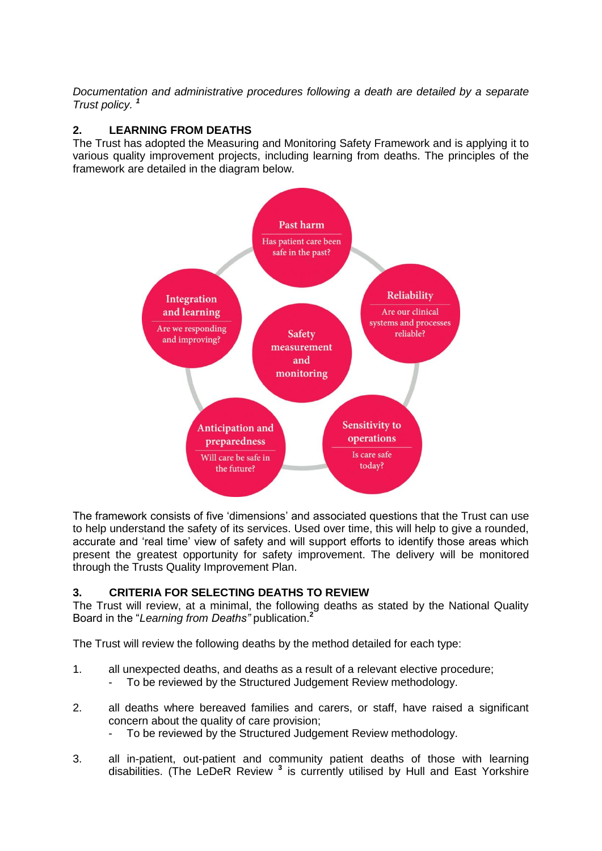*Documentation and administrative procedures following a death are detailed by a separate Trust policy. <sup>1</sup>*

# **2. LEARNING FROM DEATHS**

The Trust has adopted the Measuring and Monitoring Safety Framework and is applying it to various quality improvement projects, including learning from deaths. The principles of the framework are detailed in the diagram below.



The framework consists of five 'dimensions' and associated questions that the Trust can use to help understand the safety of its services. Used over time, this will help to give a rounded, accurate and 'real time' view of safety and will support efforts to identify those areas which present the greatest opportunity for safety improvement. The delivery will be monitored through the Trusts Quality Improvement Plan.

# **3. CRITERIA FOR SELECTING DEATHS TO REVIEW**

The Trust will review, at a minimal, the following deaths as stated by the National Quality Board in the "*Learning from Deaths"* publication.**<sup>2</sup>**

The Trust will review the following deaths by the method detailed for each type:

- 1. all unexpected deaths, and deaths as a result of a relevant elective procedure;
	- To be reviewed by the Structured Judgement Review methodology.
- 2. all deaths where bereaved families and carers, or staff, have raised a significant concern about the quality of care provision;
	- To be reviewed by the Structured Judgement Review methodology.
- 3. all in-patient, out-patient and community patient deaths of those with learning disabilities. (The LeDeR Review **<sup>3</sup>** is currently utilised by Hull and East Yorkshire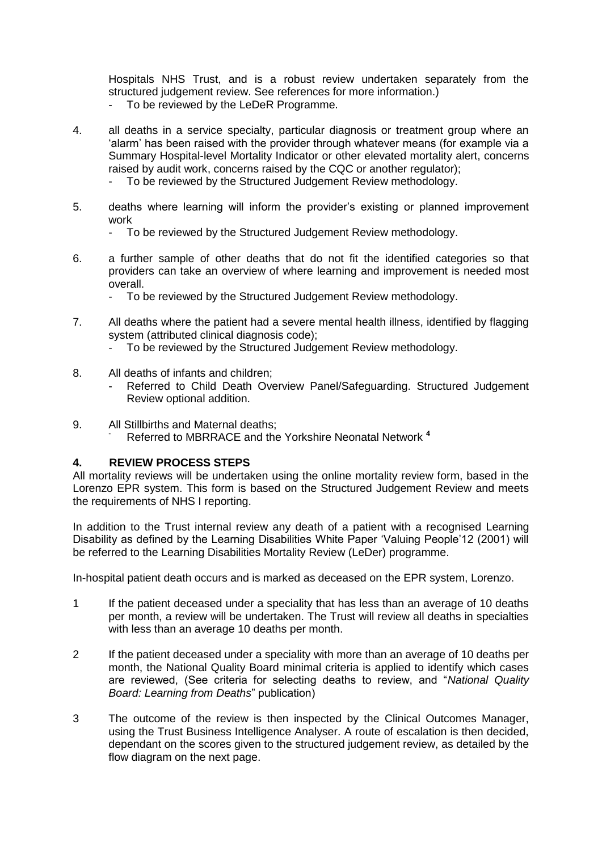Hospitals NHS Trust, and is a robust review undertaken separately from the structured judgement review. See references for more information.)

- To be reviewed by the LeDeR Programme.
- 4. all deaths in a service specialty, particular diagnosis or treatment group where an 'alarm' has been raised with the provider through whatever means (for example via a Summary Hospital-level Mortality Indicator or other elevated mortality alert, concerns raised by audit work, concerns raised by the CQC or another regulator);
	- To be reviewed by the Structured Judgement Review methodology.
- 5. deaths where learning will inform the provider's existing or planned improvement work
	- To be reviewed by the Structured Judgement Review methodology.
- 6. a further sample of other deaths that do not fit the identified categories so that providers can take an overview of where learning and improvement is needed most overall.
	- To be reviewed by the Structured Judgement Review methodology.
- 7. All deaths where the patient had a severe mental health illness, identified by flagging system (attributed clinical diagnosis code);
	- To be reviewed by the Structured Judgement Review methodology.
- 8. All deaths of infants and children;
	- Referred to Child Death Overview Panel/Safeguarding. Structured Judgement Review optional addition.
- 9. All Stillbirths and Maternal deaths; - Referred to MBRRACE and the Yorkshire Neonatal Network **<sup>4</sup>**

#### **4. REVIEW PROCESS STEPS**

All mortality reviews will be undertaken using the online mortality review form, based in the Lorenzo EPR system. This form is based on the Structured Judgement Review and meets the requirements of NHS I reporting.

In addition to the Trust internal review any death of a patient with a recognised Learning Disability as defined by the Learning Disabilities White Paper 'Valuing People'12 (2001) will be referred to the Learning Disabilities Mortality Review (LeDer) programme.

In-hospital patient death occurs and is marked as deceased on the EPR system, Lorenzo.

- 1 If the patient deceased under a speciality that has less than an average of 10 deaths per month, a review will be undertaken. The Trust will review all deaths in specialties with less than an average 10 deaths per month.
- 2 If the patient deceased under a speciality with more than an average of 10 deaths per month, the National Quality Board minimal criteria is applied to identify which cases are reviewed, (See criteria for selecting deaths to review, and "*National Quality Board: Learning from Deaths*" publication)
- 3 The outcome of the review is then inspected by the Clinical Outcomes Manager, using the Trust Business Intelligence Analyser. A route of escalation is then decided, dependant on the scores given to the structured judgement review, as detailed by the flow diagram on the next page.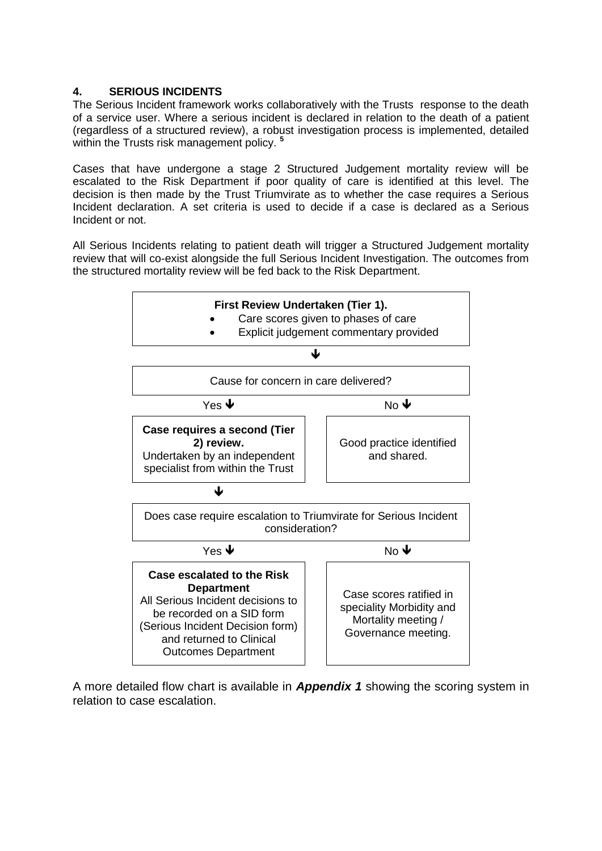# **4. SERIOUS INCIDENTS**

The Serious Incident framework works collaboratively with the Trusts response to the death of a service user. Where a serious incident is declared in relation to the death of a patient (regardless of a structured review), a robust investigation process is implemented, detailed within the Trusts risk management policy. **<sup>5</sup>**

Cases that have undergone a stage 2 Structured Judgement mortality review will be escalated to the Risk Department if poor quality of care is identified at this level. The decision is then made by the Trust Triumvirate as to whether the case requires a Serious Incident declaration. A set criteria is used to decide if a case is declared as a Serious Incident or not.

All Serious Incidents relating to patient death will trigger a Structured Judgement mortality review that will co-exist alongside the full Serious Incident Investigation. The outcomes from the structured mortality review will be fed back to the Risk Department.



A more detailed flow chart is available in *Appendix 1* showing the scoring system in relation to case escalation.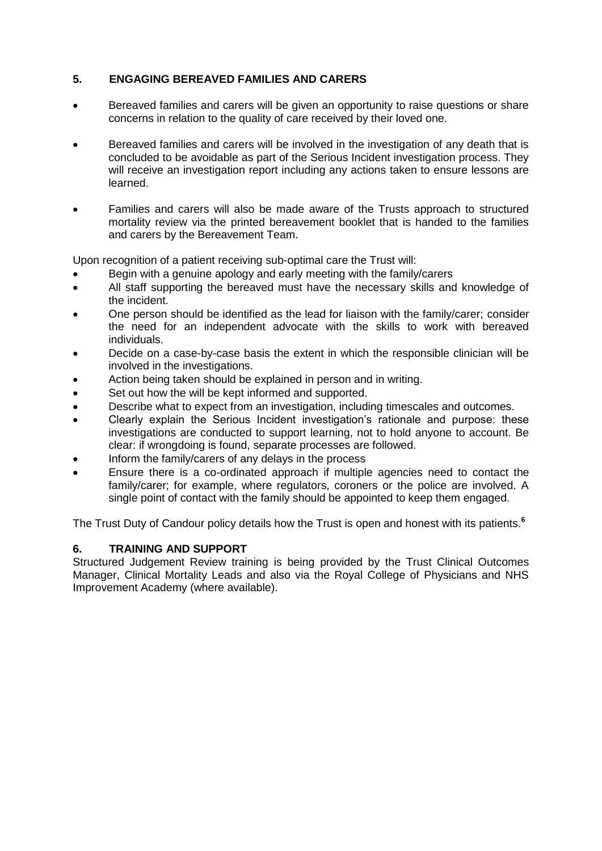# **5. ENGAGING BEREAVED FAMILIES AND CARERS**

- Bereaved families and carers will be given an opportunity to raise questions or share concerns in relation to the quality of care received by their loved one.
- Bereaved families and carers will be involved in the investigation of any death that is concluded to be avoidable as part of the Serious Incident investigation process. They will receive an investigation report including any actions taken to ensure lessons are learned.
- Families and carers will also be made aware of the Trusts approach to structured mortality review via the printed bereavement booklet that is handed to the families and carers by the Bereavement Team.

Upon recognition of a patient receiving sub-optimal care the Trust will:

- Begin with a genuine apology and early meeting with the family/carers
- All staff supporting the bereaved must have the necessary skills and knowledge of the incident.
- One person should be identified as the lead for liaison with the family/carer; consider the need for an independent advocate with the skills to work with bereaved individuals.
- Decide on a case-by-case basis the extent in which the responsible clinician will be involved in the investigations.
- Action being taken should be explained in person and in writing.
- Set out how the will be kept informed and supported.
- Describe what to expect from an investigation, including timescales and outcomes.
- Clearly explain the Serious Incident investigation's rationale and purpose: these investigations are conducted to support learning, not to hold anyone to account. Be clear: if wrongdoing is found, separate processes are followed.
- Inform the family/carers of any delays in the process
- Ensure there is a co-ordinated approach if multiple agencies need to contact the family/carer; for example, where regulators, coroners or the police are involved. A single point of contact with the family should be appointed to keep them engaged.

The Trust Duty of Candour policy details how the Trust is open and honest with its patients.**<sup>6</sup>**

# **6. TRAINING AND SUPPORT**

Structured Judgement Review training is being provided by the Trust Clinical Outcomes Manager, Clinical Mortality Leads and also via the Royal College of Physicians and NHS Improvement Academy (where available).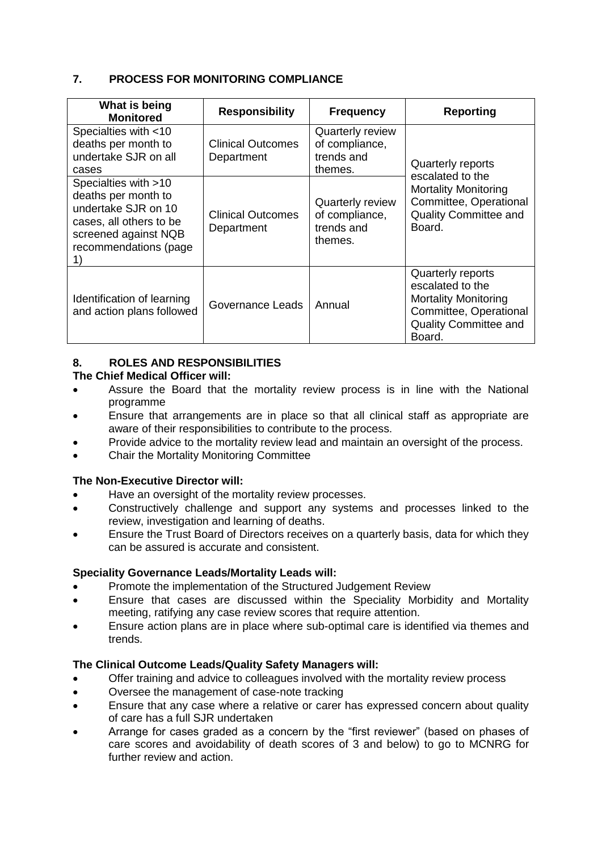# **7. PROCESS FOR MONITORING COMPLIANCE**

| What is being<br><b>Monitored</b>                                                                                                              | <b>Responsibility</b>                  | <b>Frequency</b>                                                   | <b>Reporting</b>                                                                                                                         |
|------------------------------------------------------------------------------------------------------------------------------------------------|----------------------------------------|--------------------------------------------------------------------|------------------------------------------------------------------------------------------------------------------------------------------|
| Specialties with <10<br>deaths per month to<br>undertake SJR on all<br>cases                                                                   | <b>Clinical Outcomes</b><br>Department | <b>Quarterly review</b><br>of compliance,<br>trends and<br>themes. | Quarterly reports<br>escalated to the                                                                                                    |
| Specialties with >10<br>deaths per month to<br>undertake SJR on 10<br>cases, all others to be<br>screened against NQB<br>recommendations (page | <b>Clinical Outcomes</b><br>Department | <b>Quarterly review</b><br>of compliance,<br>trends and<br>themes. | <b>Mortality Monitoring</b><br>Committee, Operational<br>Quality Committee and<br>Board.                                                 |
| Identification of learning<br>and action plans followed                                                                                        | Governance Leads                       | Annual                                                             | Quarterly reports<br>escalated to the<br><b>Mortality Monitoring</b><br>Committee, Operational<br><b>Quality Committee and</b><br>Board. |

# **8. ROLES AND RESPONSIBILITIES**

# **The Chief Medical Officer will:**

- Assure the Board that the mortality review process is in line with the National programme
- Ensure that arrangements are in place so that all clinical staff as appropriate are aware of their responsibilities to contribute to the process.
- Provide advice to the mortality review lead and maintain an oversight of the process.
- Chair the Mortality Monitoring Committee

# **The Non-Executive Director will:**

- Have an oversight of the mortality review processes.
- Constructively challenge and support any systems and processes linked to the review, investigation and learning of deaths.
- Ensure the Trust Board of Directors receives on a quarterly basis, data for which they can be assured is accurate and consistent.

# **Speciality Governance Leads/Mortality Leads will:**

- Promote the implementation of the Structured Judgement Review
- Ensure that cases are discussed within the Speciality Morbidity and Mortality meeting, ratifying any case review scores that require attention.
- Ensure action plans are in place where sub-optimal care is identified via themes and trends.

# **The Clinical Outcome Leads/Quality Safety Managers will:**

- Offer training and advice to colleagues involved with the mortality review process
- Oversee the management of case-note tracking
- Ensure that any case where a relative or carer has expressed concern about quality of care has a full SJR undertaken
- Arrange for cases graded as a concern by the "first reviewer" (based on phases of care scores and avoidability of death scores of 3 and below) to go to MCNRG for further review and action.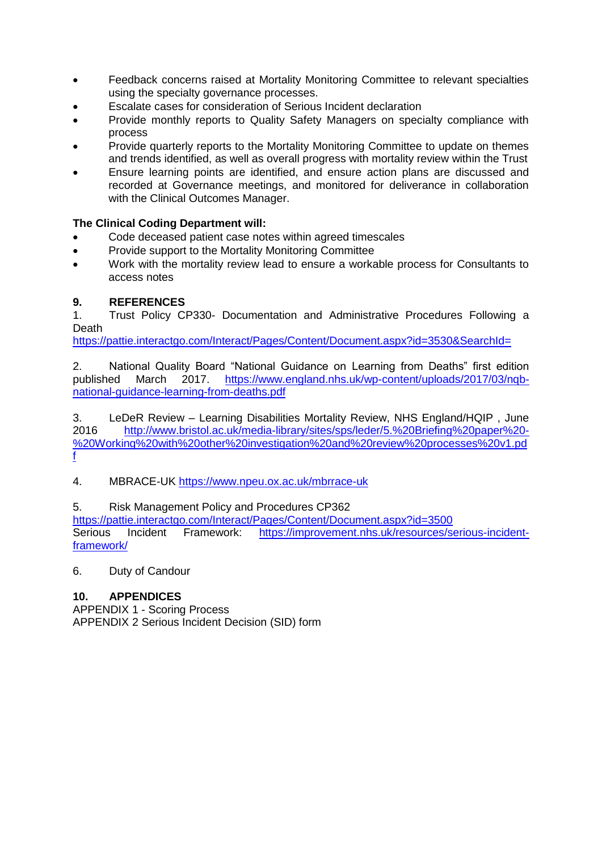- Feedback concerns raised at Mortality Monitoring Committee to relevant specialties using the specialty governance processes.
- Escalate cases for consideration of Serious Incident declaration
- Provide monthly reports to Quality Safety Managers on specialty compliance with process
- Provide quarterly reports to the Mortality Monitoring Committee to update on themes and trends identified, as well as overall progress with mortality review within the Trust
- Ensure learning points are identified, and ensure action plans are discussed and recorded at Governance meetings, and monitored for deliverance in collaboration with the Clinical Outcomes Manager.

# **The Clinical Coding Department will:**

- Code deceased patient case notes within agreed timescales
- Provide support to the Mortality Monitoring Committee
- Work with the mortality review lead to ensure a workable process for Consultants to access notes

# **9. REFERENCES**

1. Trust Policy CP330- Documentation and Administrative Procedures Following a **Death** 

<https://pattie.interactgo.com/Interact/Pages/Content/Document.aspx?id=3530&SearchId=>

2. National Quality Board "National Guidance on Learning from Deaths" first edition published March 2017. [https://www.england.nhs.uk/wp-content/uploads/2017/03/nqb](https://www.england.nhs.uk/wp-content/uploads/2017/03/nqb-national-guidance-learning-from-deaths.pdf)[national-guidance-learning-from-deaths.pdf](https://www.england.nhs.uk/wp-content/uploads/2017/03/nqb-national-guidance-learning-from-deaths.pdf)

3. LeDeR Review – Learning Disabilities Mortality Review, NHS England/HQIP , June 2016 [http://www.bristol.ac.uk/media-library/sites/sps/leder/5.%20Briefing%20paper%20-](http://www.bristol.ac.uk/media-library/sites/sps/leder/5.%20Briefing%20paper%20-%20Working%20with%20other%20investigation%20and%20review%20processes%20v1.pdf) [%20Working%20with%20other%20investigation%20and%20review%20processes%20v1.pd](http://www.bristol.ac.uk/media-library/sites/sps/leder/5.%20Briefing%20paper%20-%20Working%20with%20other%20investigation%20and%20review%20processes%20v1.pdf) [f](http://www.bristol.ac.uk/media-library/sites/sps/leder/5.%20Briefing%20paper%20-%20Working%20with%20other%20investigation%20and%20review%20processes%20v1.pdf)

4. MBRACE-UK<https://www.npeu.ox.ac.uk/mbrrace-uk>

# 5. Risk Management Policy and Procedures CP362

<https://pattie.interactgo.com/Interact/Pages/Content/Document.aspx?id=3500><br>Serious Incident Framework: https://improvement.nhs.uk/resources/s Serious Incident Framework: [https://improvement.nhs.uk/resources/serious-incident](https://improvement.nhs.uk/resources/serious-incident-framework/)[framework/](https://improvement.nhs.uk/resources/serious-incident-framework/)

6. Duty of Candour

# **10. APPENDICES**

APPENDIX 1 - Scoring Process APPENDIX 2 Serious Incident Decision (SID) form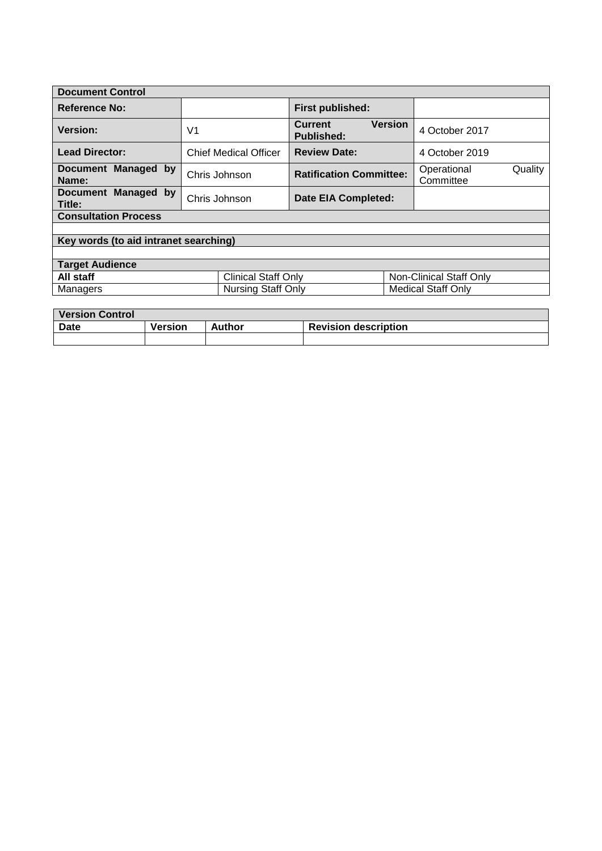| <b>Document Control</b>               |                              |                                                       |                                     |  |  |
|---------------------------------------|------------------------------|-------------------------------------------------------|-------------------------------------|--|--|
| Reference No:                         |                              | First published:                                      |                                     |  |  |
| <b>Version:</b>                       | V <sub>1</sub>               | <b>Version</b><br><b>Current</b><br><b>Published:</b> | 4 October 2017                      |  |  |
| <b>Lead Director:</b>                 | <b>Chief Medical Officer</b> | <b>Review Date:</b>                                   | 4 October 2019                      |  |  |
| Document Managed by<br>Name:          | Chris Johnson                | <b>Ratification Committee:</b>                        | Quality<br>Operational<br>Committee |  |  |
| Document Managed by<br>Title:         | Chris Johnson                | Date EIA Completed:                                   |                                     |  |  |
| <b>Consultation Process</b>           |                              |                                                       |                                     |  |  |
|                                       |                              |                                                       |                                     |  |  |
| Key words (to aid intranet searching) |                              |                                                       |                                     |  |  |
|                                       |                              |                                                       |                                     |  |  |
| <b>Target Audience</b>                |                              |                                                       |                                     |  |  |
| All staff                             | <b>Clinical Staff Only</b>   |                                                       | Non-Clinical Staff Only             |  |  |
| Managers                              | <b>Nursing Staff Only</b>    |                                                       | <b>Medical Staff Only</b>           |  |  |
|                                       |                              |                                                       |                                     |  |  |

| Version Control |                |        |                             |
|-----------------|----------------|--------|-----------------------------|
| <b>Date</b>     | <b>Version</b> | Author | <b>Revision description</b> |
|                 |                |        |                             |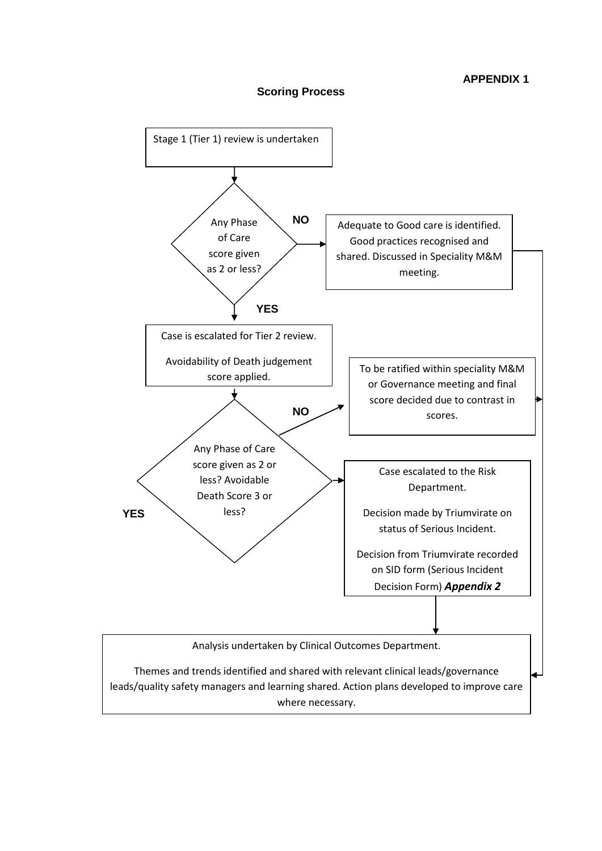

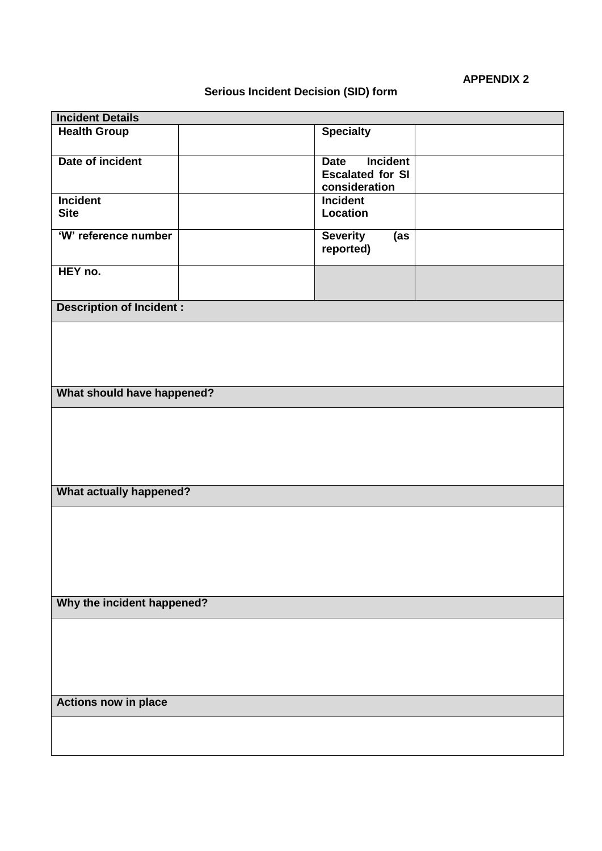# **APPENDIX 2**

# **Serious Incident Decision (SID) form**

| <b>Incident Details</b>         |                                |  |  |  |  |
|---------------------------------|--------------------------------|--|--|--|--|
| <b>Health Group</b>             | <b>Specialty</b>               |  |  |  |  |
|                                 |                                |  |  |  |  |
| Date of incident                | <b>Incident</b><br><b>Date</b> |  |  |  |  |
|                                 | <b>Escalated for SI</b>        |  |  |  |  |
|                                 | consideration                  |  |  |  |  |
| <b>Incident</b>                 | <b>Incident</b>                |  |  |  |  |
| <b>Site</b>                     | Location                       |  |  |  |  |
| 'W' reference number            | <b>Severity</b><br>(as         |  |  |  |  |
|                                 | reported)                      |  |  |  |  |
| HEY no.                         |                                |  |  |  |  |
|                                 |                                |  |  |  |  |
|                                 |                                |  |  |  |  |
| <b>Description of Incident:</b> |                                |  |  |  |  |
|                                 |                                |  |  |  |  |
|                                 |                                |  |  |  |  |
|                                 |                                |  |  |  |  |
|                                 |                                |  |  |  |  |
| What should have happened?      |                                |  |  |  |  |
|                                 |                                |  |  |  |  |
|                                 |                                |  |  |  |  |
|                                 |                                |  |  |  |  |
|                                 |                                |  |  |  |  |
|                                 |                                |  |  |  |  |
|                                 |                                |  |  |  |  |
| <b>What actually happened?</b>  |                                |  |  |  |  |
|                                 |                                |  |  |  |  |
|                                 |                                |  |  |  |  |
|                                 |                                |  |  |  |  |
|                                 |                                |  |  |  |  |
|                                 |                                |  |  |  |  |
|                                 |                                |  |  |  |  |
| Why the incident happened?      |                                |  |  |  |  |
|                                 |                                |  |  |  |  |
|                                 |                                |  |  |  |  |
|                                 |                                |  |  |  |  |
|                                 |                                |  |  |  |  |
|                                 |                                |  |  |  |  |
|                                 |                                |  |  |  |  |
| <b>Actions now in place</b>     |                                |  |  |  |  |
|                                 |                                |  |  |  |  |
|                                 |                                |  |  |  |  |
|                                 |                                |  |  |  |  |